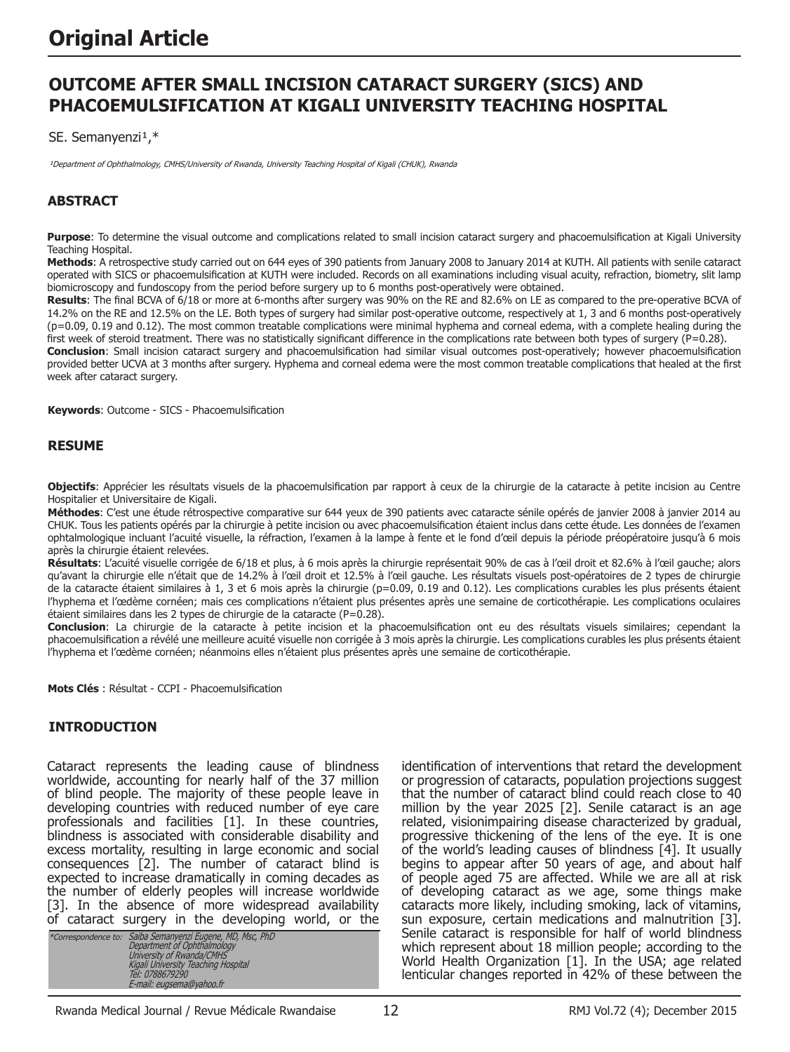# **OUTCOME AFTER SMALL INCISION CATARACT SURGERY (SICS) AND PHACOEMULSIFICATION AT KIGALI UNIVERSITY TEACHING HOSPITAL**

SE. Semanyenzi<sup>1,\*</sup>

<sup>1</sup>Department of Ophthalmology, CMHS/University of Rwanda, University Teaching Hospital of Kigali (CHUK), Rwanda

# **ABSTRACT**

**Purpose**: To determine the visual outcome and complications related to small incision cataract surgery and phacoemulsification at Kigali University Teaching Hospital.

**Methods**: A retrospective study carried out on 644 eyes of 390 patients from January 2008 to January 2014 at KUTH. All patients with senile cataract operated with SICS or phacoemulsification at KUTH were included. Records on all examinations including visual acuity, refraction, biometry, slit lamp biomicroscopy and fundoscopy from the period before surgery up to 6 months post-operatively were obtained.

**Results**: The final BCVA of 6/18 or more at 6-months after surgery was 90% on the RE and 82.6% on LE as compared to the pre-operative BCVA of 14.2% on the RE and 12.5% on the LE. Both types of surgery had similar post-operative outcome, respectively at 1, 3 and 6 months post-operatively (p=0.09, 0.19 and 0.12). The most common treatable complications were minimal hyphema and corneal edema, with a complete healing during the first week of steroid treatment. There was no statistically significant difference in the complications rate between both types of surgery (P=0.28).

**Conclusion**: Small incision cataract surgery and phacoemulsification had similar visual outcomes post-operatively; however phacoemulsification provided better UCVA at 3 months after surgery. Hyphema and corneal edema were the most common treatable complications that healed at the first week after cataract surgery.

**Keywords**: Outcome - SICS - Phacoemulsification

#### **RESUME**

**Objectifs**: Apprécier les résultats visuels de la phacoemulsification par rapport à ceux de la chirurgie de la cataracte à petite incision au Centre Hospitalier et Universitaire de Kigali.

**Méthodes**: C'est une étude rétrospective comparative sur 644 yeux de 390 patients avec cataracte sénile opérés de janvier 2008 à janvier 2014 au CHUK. Tous les patients opérés par la chirurgie à petite incision ou avec phacoemulsification étaient inclus dans cette étude. Les données de l'examen ophtalmologique incluant l'acuité visuelle, la réfraction, l'examen à la lampe à fente et le fond d'œil depuis la période préopératoire jusqu'à 6 mois après la chirurgie étaient relevées.

**Résultats**: L'acuité visuelle corrigée de 6/18 et plus, à 6 mois après la chirurgie représentait 90% de cas à l'œil droit et 82.6% à l'œil gauche; alors qu'avant la chirurgie elle n'était que de 14.2% à l'œil droit et 12.5% à l'œil gauche. Les résultats visuels post-opératoires de 2 types de chirurgie de la cataracte étaient similaires à 1, 3 et 6 mois après la chirurgie (p=0.09, 0.19 and 0.12). Les complications curables les plus présents étaient l'hyphema et l'œdème cornéen; mais ces complications n'étaient plus présentes après une semaine de corticothérapie. Les complications oculaires étaient similaires dans les 2 types de chirurgie de la cataracte (P=0.28).

**Conclusion**: La chirurgie de la cataracte à petite incision et la phacoemulsification ont eu des résultats visuels similaires; cependant la phacoemulsification a révélé une meilleure acuité visuelle non corrigée à 3 mois après la chirurgie. Les complications curables les plus présents étaient l'hyphema et l'œdème cornéen; néanmoins elles n'étaient plus présentes après une semaine de corticothérapie.

**Mots Clés** : Résultat - CCPI - Phacoemulsification

#### **INTRODUCTION**

Cataract represents the leading cause of blindness worldwide, accounting for nearly half of the 37 million of blind people. The majority of these people leave in developing countries with reduced number of eye care professionals and facilities [1]. In these countries, blindness is associated with considerable disability and excess mortality, resulting in large economic and social consequences [2]. The number of cataract blind is expected to increase dramatically in coming decades as the number of elderly peoples will increase worldwide [3]. In the absence of more widespread availability of cataract surgery in the developing world, or the

|  | *Correspondence to: Saiba Semanyenzi Eugene, MD, Msc, PhD<br>Department of Ophthalmology<br>University of Rwanda/CMHS<br>Kigali University Teaching Hospital<br>Tel: 0788679290<br>E-mail: eugsema@yahoo.fr |
|--|-------------------------------------------------------------------------------------------------------------------------------------------------------------------------------------------------------------|
|--|-------------------------------------------------------------------------------------------------------------------------------------------------------------------------------------------------------------|

identification of interventions that retard the development or progression of cataracts, population projections suggest that the number of cataract blind could reach close to 40 million by the year 2025 [2]. Senile cataract is an age related, visionimpairing disease characterized by gradual, progressive thickening of the lens of the eye. It is one of the world's leading causes of blindness [4]. It usually begins to appear after 50 years of age, and about half of people aged 75 are affected. While we are all at risk of developing cataract as we age, some things make cataracts more likely, including smoking, lack of vitamins, sun exposure, certain medications and malnutrition [3]. Senile cataract is responsible for half of world blindness which represent about 18 million people; according to the World Health Organization [1]. In the USA; age related lenticular changes reported in 42% of these between the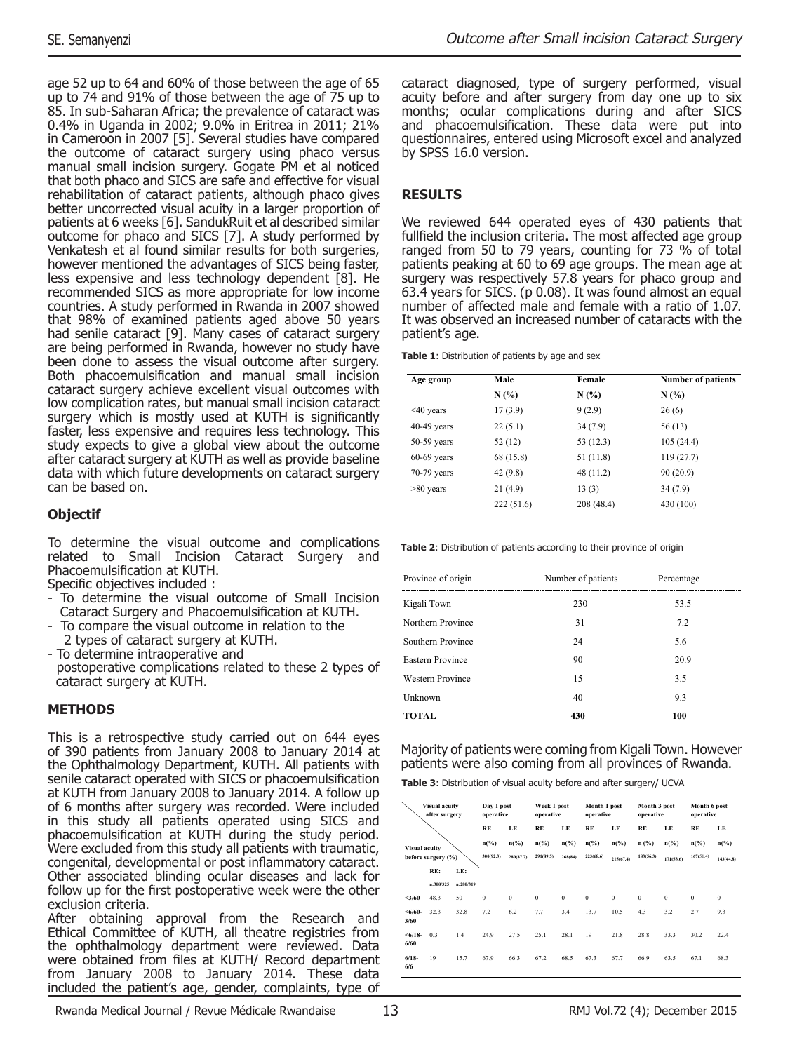age 52 up to 64 and 60% of those between the age of 65 up to 74 and 91% of those between the age of 75 up to 85. In sub-Saharan Africa; the prevalence of cataract was 0.4% in Uganda in 2002; 9.0% in Eritrea in 2011; 21% in Cameroon in 2007 [5]. Several studies have compared the outcome of cataract surgery using phaco versus manual small incision surgery. Gogate PM et al noticed that both phaco and SICS are safe and effective for visual rehabilitation of cataract patients, although phaco gives better uncorrected visual acuity in a larger proportion of patients at 6 weeks [6]. SandukRuit et al described similar outcome for phaco and SICS [7]. A study performed by Venkatesh et al found similar results for both surgeries, however mentioned the advantages of SICS being faster, less expensive and less technology dependent [8]. He recommended SICS as more appropriate for low income countries. A study performed in Rwanda in 2007 showed that 98% of examined patients aged above 50 years had senile cataract [9]. Many cases of cataract surgery are being performed in Rwanda, however no study have been done to assess the visual outcome after surgery. Both phacoemulsification and manual small incision cataract surgery achieve excellent visual outcomes with low complication rates, but manual small incision cataract surgery which is mostly used at KUTH is significantly faster, less expensive and requires less technology. This study expects to give a global view about the outcome after cataract surgery at KUTH as well as provide baseline data with which future developments on cataract surgery can be based on.

# **Objectif**

To determine the visual outcome and complications related to Small Incision Cataract Surgery and Phacoemulsification at KUTH.

Specific objectives included :

- To determine the visual outcome of Small Incision Cataract Surgery and Phacoemulsification at KUTH.
- To compare the visual outcome in relation to the 2 types of cataract surgery at KUTH.
- To determine intraoperative and postoperative complications related to these 2 types of cataract surgery at KUTH.

#### **METHODS**

This is a retrospective study carried out on 644 eyes of 390 patients from January 2008 to January 2014 at the Ophthalmology Department, KUTH. All patients with senile cataract operated with SICS or phacoemulsification at KUTH from January 2008 to January 2014. A follow up of 6 months after surgery was recorded. Were included in this study all patients operated using SICS and phacoemulsification at KUTH during the study period. Were excluded from this study all patients with traumatic, congenital, developmental or post inflammatory cataract. Other associated blinding ocular diseases and lack for follow up for the first postoperative week were the other exclusion criteria.

After obtaining approval from the Research and Ethical Committee of KUTH, all theatre registries from the ophthalmology department were reviewed. Data were obtained from files at KUTH/ Record department from January 2008 to January 2014. These data included the patient's age, gender, complaints, type of

cataract diagnosed, type of surgery performed, visual acuity before and after surgery from day one up to six months; ocular complications during and after SICS and phacoemulsification. These data were put into questionnaires, entered using Microsoft excel and analyzed by SPSS 16.0 version.

# **RESULTS**

We reviewed 644 operated eyes of 430 patients that fullfield the inclusion criteria. The most affected age group ranged from 50 to 79 years, counting for 73 % of total patients peaking at 60 to 69 age groups. The mean age at surgery was respectively 57.8 years for phaco group and 63.4 years for SICS. (p 0.08). It was found almost an equal number of affected male and female with a ratio of 1.07. It was observed an increased number of cataracts with the patient's age.

**Table 1**: Distribution of patients by age and sex

| Age group       | Male      | Female    | <b>Number of patients</b> |  |  |
|-----------------|-----------|-----------|---------------------------|--|--|
|                 | N(%)      | N(%)      | N(%)                      |  |  |
| $\leq 40$ years | 17(3.9)   | 9(2.9)    | 26(6)                     |  |  |
| $40-49$ years   | 22(5.1)   | 34(7.9)   | 56 (13)                   |  |  |
| $50-59$ years   | 52(12)    | 53 (12.3) | 105(24.4)                 |  |  |
| $60-69$ years   | 68 (15.8) | 51 (11.8) | 119(27.7)                 |  |  |
| $70-79$ years   | 42 (9.8)  | 48 (11.2) | 90(20.9)                  |  |  |
| $>80$ years     | 21(4.9)   | 13(3)     | 34(7.9)                   |  |  |
|                 | 222(51.6) | 208(48.4) | 430 (100)                 |  |  |

**Table 2:** Distribution of patients according to their province of origin

| Province of origin      | Number of patients | Percentage |
|-------------------------|--------------------|------------|
| Kigali Town             | 230                | 53.5       |
| Northern Province       | 31                 | 7.2        |
| Southern Province       | 24                 | 5.6        |
| <b>Eastern Province</b> | 90                 | 20.9       |
| <b>Western Province</b> | 15                 | 3.5        |
| Unknown                 | 40                 | 9.3        |
| TOTAL                   | 430                | 100        |
|                         |                    |            |

Majority of patients were coming from Kigali Town. However patients were also coming from all provinces of Rwanda.

**Table 3**: Distribution of visual acuity before and after surgery/ UCVA

| Visual acuity<br>after surgery |                    | Day 1 post<br>operative |                 | Week 1 post<br>operative |           | Month 1 post<br>operative |                 | Month 3 post<br>operative |           | Month 6 post<br>operative |              |                 |
|--------------------------------|--------------------|-------------------------|-----------------|--------------------------|-----------|---------------------------|-----------------|---------------------------|-----------|---------------------------|--------------|-----------------|
|                                |                    |                         | RE              | LE                       | RE        | LE                        | RE              | LE                        | RE        | LE                        | RE           | LE              |
| Visual acuity                  |                    |                         | $n\binom{9}{6}$ | $n\binom{0}{0}$          | $n$ (%)   | $n$ (%)                   | $n\binom{9}{0}$ | $n$ (%)                   | $n$ (%)   | $n$ (%)                   | $n$ (%)      | $n\binom{0}{0}$ |
|                                | before surgery (%) |                         | 300(92.3)       | 280(87.7)                | 291(89.5) | 268(84)                   | 223(68.6)       | 215(67.4)                 | 183(56.3) | 171(53.6)                 | 167(51.4)    | 143(44.8)       |
|                                | RE:                | LE:                     |                 |                          |           |                           |                 |                           |           |                           |              |                 |
|                                | n:300/325          | n:280/319               |                 |                          |           |                           |                 |                           |           |                           |              |                 |
| 3/60                           | 48.3               | 50                      | $\mathbf{0}$    | $\bf{0}$                 | $\bf{0}$  | $\mathbf{0}$              | $\mathbf{0}$    | $\bf{0}$                  | $\bf{0}$  | $\mathbf{0}$              | $\mathbf{0}$ | $\mathbf{0}$    |
| $< 6/60 -$<br>3/60             | 32.3               | 32.8                    | 7.2             | 6.2                      | 7.7       | 3.4                       | 13.7            | 10.5                      | 4.3       | 3.2                       | 2.7          | 9.3             |
| $<6/18-$<br>6/60               | 0.3                | 1.4                     | 24.9            | 27.5                     | 25.1      | 28.1                      | 19              | 21.8                      | 28.8      | 33.3                      | 30.2         | 22.4            |
| $6/18-$<br>6/6                 | 19                 | 15.7                    | 67.9            | 66.3                     | 67.2      | 68.5                      | 67.3            | 67.7                      | 66.9      | 63.5                      | 67.1         | 68.3            |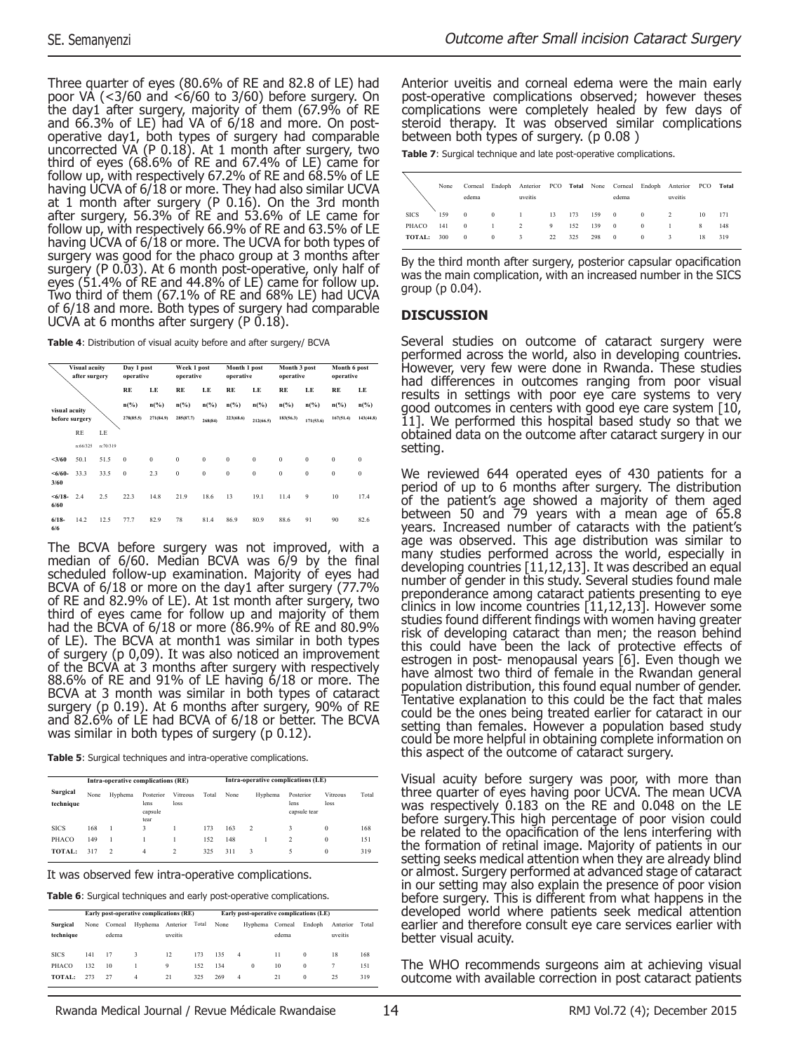Three quarter of eyes (80.6% of RE and 82.8 of LE) had poor VA (<3/60 and <6/60 to 3/60) before surgery. On the day1 after surgery, majority of them (67.9% of RE and 66.3% of LE) had VA of 6/18 and more. On postoperative day1, both types of surgery had comparable uncorrected VA (P 0.18). At 1 month after surgery, two third of eyes (68.6% of RE and 67.4% of LE) came for follow up, with respectively 67.2% of RE and 68.5% of LE having UCVA of 6/18 or more. They had also similar UCVA at 1 month after surgery (P 0.16). On the 3rd month after surgery, 56.3% of RE and 53.6% of LE came for follow up, with respectively 66.9% of RE and 63.5% of LE having UCVA of 6/18 or more. The UCVA for both types of surgery was good for the phaco group at 3 months after surgery (P 0.03). At 6 month post-operative, only half of eyes (51.4% of RE and 44.8% of LE) came for follow up. Two third of them (67.1% of RE and 68% LE) had UCVA of 6/18 and more. Both types of surgery had comparable UCVA at 6 months after surgery (P 0.18).

**Table 4**: Distribution of visual acuity before and after surgery/ BCVA

| Visual acuity<br>after surgery |                | Day 1 post<br>operative |                 |                 | Week 1 post<br>operative |                 | Month 1 post<br>operative |                 | Month 3 post<br>operative |                 | Month 6 post<br>operative |              |
|--------------------------------|----------------|-------------------------|-----------------|-----------------|--------------------------|-----------------|---------------------------|-----------------|---------------------------|-----------------|---------------------------|--------------|
|                                |                |                         | RE              | LE              | RE                       | LE              | RE                        | LE              | RE                        | LE              | RE                        | LE           |
| visual acuity                  |                |                         | $n\binom{9}{6}$ | $n\binom{9}{6}$ | $n\binom{0}{0}$          | $n\binom{9}{0}$ | $n\binom{9}{6}$           | $n\binom{0}{0}$ | $n\binom{9}{0}$           | $n\binom{9}{0}$ | $n\binom{0}{0}$           | $n$ (%)      |
|                                | before surgery |                         | 278(85.5)       | 271(84.9)       | 285(87.7)                | 268(84)         | 223(68.6)                 | 212(66.5)       | 183(56.3)                 | 171(53.6)       | 167(51.4)                 | 143(44.8)    |
|                                | <b>RE</b>      | LE                      |                 |                 |                          |                 |                           |                 |                           |                 |                           |              |
|                                | n:66/325       | n:70/319                |                 |                 |                          |                 |                           |                 |                           |                 |                           |              |
| 3/60                           | 50.1           | 51.5                    | $\bf{0}$        | $\bf{0}$        | $\theta$                 | $\mathbf{0}$    | $\mathbf{0}$              | $\mathbf{0}$    | $\bf{0}$                  | $\mathbf{0}$    | $\mathbf{0}$              | $\mathbf{0}$ |
| $< 6/60 -$<br>3/60             | 33.3           | 33.5                    | $\bf{0}$        | 2.3             | $\mathbf{0}$             | $\mathbf{0}$    | $\mathbf{0}$              | $\mathbf{0}$    | $\bf{0}$                  | $\mathbf{0}$    | $\mathbf{0}$              | $\mathbf{0}$ |
| $<\frac{6}{18}$<br>6/60        | 2.4            | 2.5                     | 22.3            | 14.8            | 21.9                     | 18.6            | 13                        | 19.1            | 11.4                      | 9               | 10                        | 17.4         |
| $6/18-$<br>6/6                 | 14.2           | 12.5                    | 77.7            | 82.9            | 78                       | 81.4            | 86.9                      | 80.9            | 88.6                      | 91              | 90                        | 82.6         |

The BCVA before surgery was not improved, with a median of  $6/60$ . Median BCVA was  $6/9$  by the final scheduled follow-up examination. Majority of eyes had BCVA of 6/18 or more on the day1 after surgery (77.7% of RE and 82.9% of LE). At 1st month after surgery, two third of eyes came for follow up and majority of them had the BCVA of 6/18 or more (86.9% of RE and 80.9% of LE). The BCVA at month1 was similar in both types of surgery (p 0,09). It was also noticed an improvement of the BCVA at 3 months after surgery with respectively 88.6% of RE and 91% of LE having 6/18 or more. The BCVA at 3 month was similar in both types of cataract surgery (p 0.19). At 6 months after surgery, 90% of RE and 82.6% of LE had BCVA of 6/18 or better. The BCVA was similar in both types of surgery (p 0.12).

**Table 5**: Surgical techniques and intra-operative complications.

|                       |      | Intra-operative complications (RE) |                                      |                         |       | Intra-operative complications (LE) |                |         |                                   |                  |       |  |
|-----------------------|------|------------------------------------|--------------------------------------|-------------------------|-------|------------------------------------|----------------|---------|-----------------------------------|------------------|-------|--|
| Surgical<br>technique | None | Hyphema                            | Posterior<br>lens<br>capsule<br>tear | Vitreous<br>loss        | Total | None                               |                | Hyphema | Posterior<br>lens<br>capsule tear | Vitreous<br>loss | Total |  |
| <b>SICS</b>           | 168  |                                    | 3                                    |                         | 173   | 163                                | $\overline{2}$ |         | 3                                 | $\bf{0}$         | 168   |  |
| PHACO                 | 149  |                                    |                                      |                         | 152   | 148                                |                |         | $\mathfrak{D}$                    | $\bf{0}$         | 151   |  |
| TOTAL:                | 317  | $\overline{2}$                     | 4                                    | $\overline{\mathbf{c}}$ | 325   | 311                                | 3              |         | 5                                 | $\bf{0}$         | 319   |  |

It was observed few intra-operative complications.

**Table 6**: Surgical techniques and early post-operative complications.

|                       | Early post-operative complications (RE) |                  |         |                     |       |      | Early post-operative complications (LE) |                  |          |                     |       |  |
|-----------------------|-----------------------------------------|------------------|---------|---------------------|-------|------|-----------------------------------------|------------------|----------|---------------------|-------|--|
| Surgical<br>technique | None                                    | Corneal<br>edema | Hyphema | Anterior<br>uveitis | Total | None | Hyphema                                 | Corneal<br>edema | Endoph   | Anterior<br>uveitis | Total |  |
| <b>SICS</b>           | 141                                     | 17               | 3       | 12                  | 173   | 135  | $\overline{4}$                          | 11               | $\theta$ | 18                  | 168   |  |
| PHACO                 | 132                                     | 10               |         | 9                   | 152   | 134  | $\bf{0}$                                | 10               | $\bf{0}$ | 7                   | 151   |  |
| TOTAL:                | 273                                     | 27               | 4       | 21                  | 325   | 269  | $\overline{4}$                          | 21               | $\bf{0}$ | 25                  | 319   |  |

Anterior uveitis and corneal edema were the main early post-operative complications observed; however theses complications were completely healed by few days of steroid therapy. It was observed similar complications between both types of surgery. (p 0.08 )

**Table 7:** Surgical technique and late post-operative complications.

|             | None | edema    |          | uveitis       |    |     |     | edema          |              | Corneal Endoph Anterior PCO Total None Corneal Endoph Anterior PCO<br>uveitis |    | Total |
|-------------|------|----------|----------|---------------|----|-----|-----|----------------|--------------|-------------------------------------------------------------------------------|----|-------|
| <b>SICS</b> | 159  | $\bf{0}$ | $\theta$ |               | 13 | 173 | 159 | $\overline{0}$ | $\theta$     | $\mathfrak{D}$                                                                | 10 | 171   |
| PHACO       | 141  | $\bf{0}$ |          | $\mathcal{L}$ | 9  | 152 | 139 | $\overline{0}$ | $\mathbf{0}$ |                                                                               | 8  | 148   |
| TOTAL:      | 300  | $\theta$ | 0        | 3             | 22 | 325 | 298 | $\overline{0}$ | $\mathbf{0}$ | 3                                                                             | 18 | 319   |

By the third month after surgery, posterior capsular opacification was the main complication, with an increased number in the SICS group (p 0.04).

# **DISCUSSION**

Several studies on outcome of cataract surgery were performed across the world, also in developing countries. However, very few were done in Rwanda. These studies had differences in outcomes ranging from poor visual results in settings with poor eye care systems to very good outcomes in centers with good eye care system [10, 11]. We performed this hospital based study so that we obtained data on the outcome after cataract surgery in our setting.

We reviewed 644 operated eyes of 430 patients for a period of up to 6 months after surgery. The distribution of the patient's age showed a majority of them aged between 50 and 79 years with a mean age of 65.8 years. Increased number of cataracts with the patient's age was observed. This age distribution was similar to many studies performed across the world, especially in developing countries [11,12,13]. It was described an equal number of gender in this study. Several studies found male preponderance among cataract patients presenting to eye clinics in low income countries [11,12,13]. However some studies found different findings with women having greater risk of developing cataract than men; the reason behind this could have been the lack of protective effects of estrogen in post- menopausal years [6]. Even though we have almost two third of female in the Rwandan general population distribution, this found equal number of gender. Tentative explanation to this could be the fact that males could be the ones being treated earlier for cataract in our setting than females. However a population based study could be more helpful in obtaining complete information on this aspect of the outcome of cataract surgery.

Visual acuity before surgery was poor, with more than three quarter of eyes having poor UCVA. The mean UCVA was respectively 0.183 on the RE and 0.048 on the LE before surgery.This high percentage of poor vision could be related to the opacification of the lens interfering with the formation of retinal image. Majority of patients in our setting seeks medical attention when they are already blind or almost. Surgery performed at advanced stage of cataract in our setting may also explain the presence of poor vision before surgery. This is different from what happens in the developed world where patients seek medical attention earlier and therefore consult eye care services earlier with better visual acuity.

The WHO recommends surgeons aim at achieving visual outcome with available correction in post cataract patients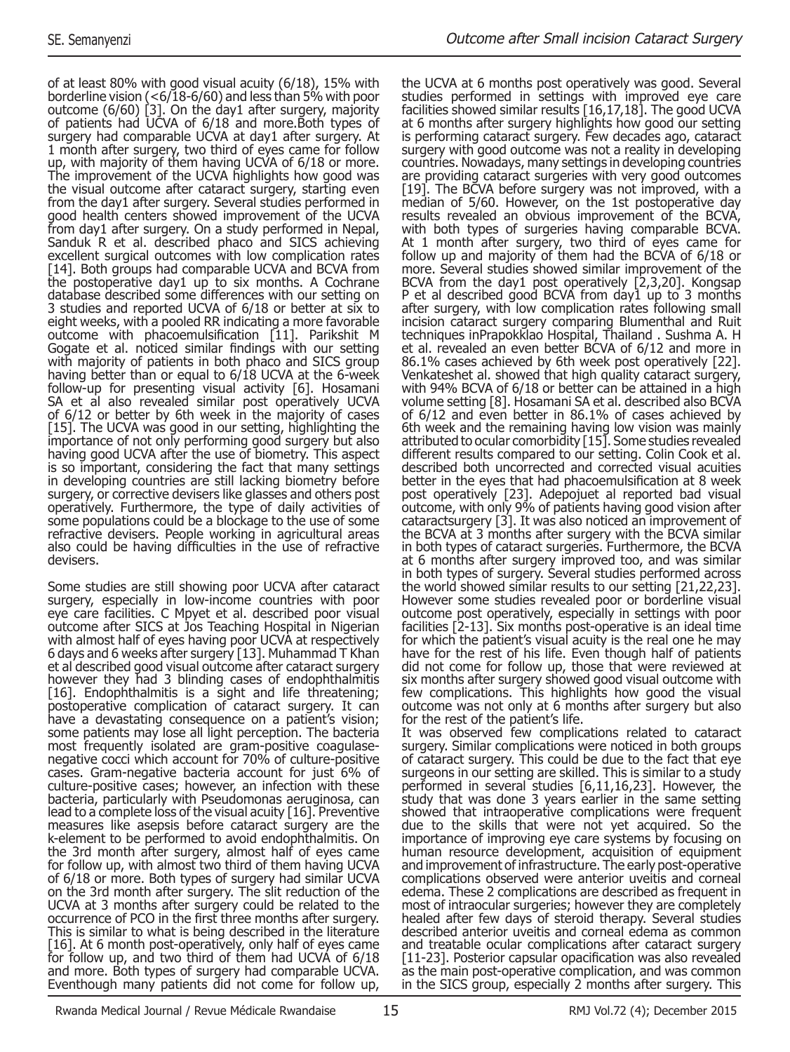of at least 80% with good visual acuity (6/18), 15% with borderline vision (<6/18-6/60) and less than 5% with poor outcome (6/60) [3]. On the day1 after surgery, majority of patients had UCVA of 6/18 and more. Both types of surgery had comparable UCVA at day1 after surgery. At 1 month after surgery, two third of eyes came for follow up, with majority of them having UCVA of 6/18 or more. The improvement of the UCVA highlights how good was the visual outcome after cataract surgery, starting even from the day1 after surgery. Several studies performed in good health centers showed improvement of the UCVA from day1 after surgery. On a study performed in Nepal, Sanduk R et al. described phaco and SICS achieving excellent surgical outcomes with low complication rates [14]. Both groups had comparable UCVA and BCVA from the postoperative day1 up to six months. A Cochrane database described some differences with our setting on 3 studies and reported UCVA of 6/18 or better at six to eight weeks, with a pooled RR indicating a more favorable outcome with phacoemulsification [11]. Parikshit M Gogate et al. noticed similar findings with our setting with majority of patients in both phaco and SICS group having better than or equal to 6/18 UCVA at the 6-week follow-up for presenting visual activity [6]. Hosamani SA et al also revealed similar post operatively UCVA of 6/12 or better by 6th week in the majority of cases [15]. The UCVA was good in our setting, highlighting the importance of not only performing good surgery but also having good UCVA after the use of biometry. This aspect is so important, considering the fact that many settings in developing countries are still lacking biometry before surgery, or corrective devisers like glasses and others post operatively. Furthermore, the type of daily activities of some populations could be a blockage to the use of some refractive devisers. People working in agricultural areas also could be having difficulties in the use of refractive devisers.

Some studies are still showing poor UCVA after cataract surgery, especially in low-income countries with poor eye care facilities. C Mpyet et al. described poor visual outcome after SICS at Jos Teaching Hospital in Nigerian with almost half of eyes having poor UCVA at respectively 6 days and 6 weeks after surgery [13]. Muhammad T Khan et al described good visual outcome after cataract surgery however they had 3 blinding cases of endophthalmitis [16]. Endophthalmitis is a sight and life threatening; postoperative complication of cataract surgery. It can have a devastating consequence on a patient's vision; some patients may lose all light perception. The bacteria most frequently isolated are gram-positive coagulasenegative cocci which account for 70% of culture-positive cases. Gram-negative bacteria account for just 6% of culture-positive cases; however, an infection with these bacteria, particularly with Pseudomonas aeruginosa, can lead to a complete loss of the visual acuity [16]. Preventive measures like asepsis before cataract surgery are the k-element to be performed to avoid endophthalmitis. On the 3rd month after surgery, almost half of eyes came for follow up, with almost two third of them having UCVA of 6/18 or more. Both types of surgery had similar UCVA on the 3rd month after surgery. The slit reduction of the UCVA at 3 months after surgery could be related to the occurrence of PCO in the first three months after surgery. This is similar to what is being described in the literature [16]. At 6 month post-operatively, only half of eyes came for follow up, and two third of them had UCVA of 6/18 and more. Both types of surgery had comparable UCVA. Eventhough many patients did not come for follow up,

the UCVA at 6 months post operatively was good. Several studies performed in settings with improved eye care facilities showed similar results [16,17,18]. The good UCVA at 6 months after surgery highlights how good our setting is performing cataract surgery. Few decades ago, cataract surgery with good outcome was not a reality in developing countries. Nowadays, many settings in developing countries are providing cataract surgeries with very good outcomes [19]. The BCVA before surgery was not improved, with a median of 5/60. However, on the 1st postoperative day results revealed an obvious improvement of the BCVA, with both types of surgeries having comparable BCVA. At 1 month after surgery, two third of eyes came for follow up and majority of them had the BCVA of 6/18 or more. Several studies showed similar improvement of the BCVA from the day1 post operatively [2,3,20]. Kongsap P et al described good BCVA from day1 up to 3 months after surgery, with low complication rates following small incision cataract surgery comparing Blumenthal and Ruit techniques inPrapokklao Hospital, Thailand . Sushma A. H et al. revealed an even better BCVA of 6/12 and more in 86.1% cases achieved by 6th week post operatively [22]. Venkateshet al. showed that high quality cataract surgery, with 94% BCVA of 6/18 or better can be attained in a high volume setting [8]. Hosamani SA et al. described also BCVA of 6/12 and even better in 86.1% of cases achieved by 6th week and the remaining having low vision was mainly attributed to ocular comorbidity [15]. Some studies revealed different results compared to our setting. Colin Cook et al. described both uncorrected and corrected visual acuities better in the eyes that had phacoemulsification at 8 week post operatively [23]. Adepojuet al reported bad visual outcome, with only 9% of patients having good vision after cataractsurgery [3]. It was also noticed an improvement of the BCVA at 3 months after surgery with the BCVA similar in both types of cataract surgeries. Furthermore, the BCVA at 6 months after surgery improved too, and was similar in both types of surgery. Several studies performed across the world showed similar results to our setting [21,22,23]. However some studies revealed poor or borderline visual outcome post operatively, especially in settings with poor facilities [2-13]. Six months post-operative is an ideal time for which the patient's visual acuity is the real one he may have for the rest of his life. Even though half of patients did not come for follow up, those that were reviewed at six months after surgery showed good visual outcome with few complications. This highlights how good the visual outcome was not only at 6 months after surgery but also for the rest of the patient's life. It was observed few complications related to cataract

surgery. Similar complications were noticed in both groups of cataract surgery. This could be due to the fact that eye surgeons in our setting are skilled. This is similar to a study performed in several studies [6,11,16,23]. However, the study that was done 3 years earlier in the same setting showed that intraoperative complications were frequent due to the skills that were not yet acquired. So the importance of improving eye care systems by focusing on human resource development, acquisition of equipment and improvement of infrastructure. The early post-operative complications observed were anterior uveitis and corneal edema. These 2 complications are described as frequent in most of intraocular surgeries; however they are completely healed after few days of steroid therapy. Several studies described anterior uveitis and corneal edema as common and treatable ocular complications after cataract surgery [11-23]. Posterior capsular opacification was also revealed as the main post-operative complication, and was common in the SICS group, especially 2 months after surgery. This